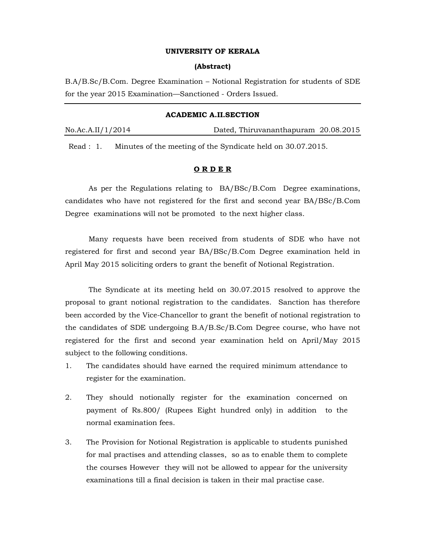#### UNIVERSITY OF KERALA

#### (Abstract)

B.A/B.Sc/B.Com. Degree Examination – Notional Registration for students of SDE for the year 2015 Examination—Sanctioned - Orders Issued.

# ACADEMIC A.II.SECTION

No.Ac.A.II/1/2014 Dated, Thiruvananthapuram 20.08.2015

Read : 1. Minutes of the meeting of the Syndicate held on 30.07.2015.

#### O R D E R

As per the Regulations relating to BA/BSc/B.Com Degree examinations, candidates who have not registered for the first and second year BA/BSc/B.Com Degree examinations will not be promoted to the next higher class.

Many requests have been received from students of SDE who have not registered for first and second year BA/BSc/B.Com Degree examination held in April May 2015 soliciting orders to grant the benefit of Notional Registration.

The Syndicate at its meeting held on 30.07.2015 resolved to approve the proposal to grant notional registration to the candidates. Sanction has therefore been accorded by the Vice-Chancellor to grant the benefit of notional registration to the candidates of SDE undergoing B.A/B.Sc/B.Com Degree course, who have not registered for the first and second year examination held on April/May 2015 subject to the following conditions.

- 1. The candidates should have earned the required minimum attendance to register for the examination.
- 2. They should notionally register for the examination concerned on payment of Rs.800/ (Rupees Eight hundred only) in addition to the normal examination fees.
- 3. The Provision for Notional Registration is applicable to students punished for mal practises and attending classes, so as to enable them to complete the courses However they will not be allowed to appear for the university examinations till a final decision is taken in their mal practise case.